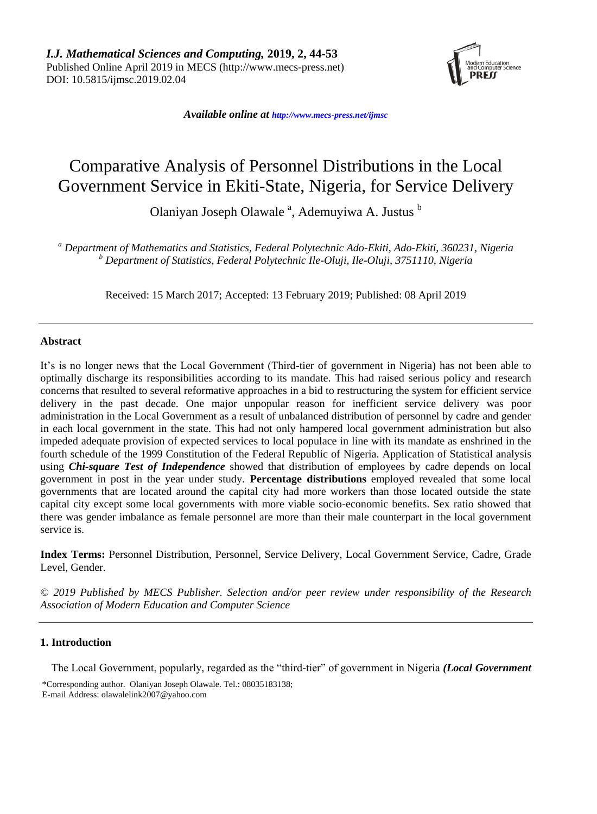

*Available online at [http://www.mecs-press.net/ijm](http://www.mecs-press.net/ijwmt)sc*

# Comparative Analysis of Personnel Distributions in the Local Government Service in Ekiti-State, Nigeria, for Service Delivery

Olaniyan Joseph Olawale<sup>a</sup>, Ademuyiwa A. Justus<sup>b</sup>

*<sup>a</sup> Department of Mathematics and Statistics, Federal Polytechnic Ado-Ekiti, Ado-Ekiti, 360231, Nigeria <sup>b</sup> Department of Statistics, Federal Polytechnic Ile-Oluji, Ile-Oluji, 3751110, Nigeria*

Received: 15 March 2017; Accepted: 13 February 2019; Published: 08 April 2019

# **Abstract**

It's is no longer news that the Local Government (Third-tier of government in Nigeria) has not been able to optimally discharge its responsibilities according to its mandate. This had raised serious policy and research concerns that resulted to several reformative approaches in a bid to restructuring the system for efficient service delivery in the past decade. One major unpopular reason for inefficient service delivery was poor administration in the Local Government as a result of unbalanced distribution of personnel by cadre and gender in each local government in the state. This had not only hampered local government administration but also impeded adequate provision of expected services to local populace in line with its mandate as enshrined in the fourth schedule of the 1999 Constitution of the Federal Republic of Nigeria. Application of Statistical analysis using *Chi-square Test of Independence* showed that distribution of employees by cadre depends on local government in post in the year under study. **Percentage distributions** employed revealed that some local governments that are located around the capital city had more workers than those located outside the state capital city except some local governments with more viable socio-economic benefits. Sex ratio showed that there was gender imbalance as female personnel are more than their male counterpart in the local government service is.

**Index Terms:** Personnel Distribution, Personnel, Service Delivery, Local Government Service, Cadre, Grade Level, Gender.

*© 2019 Published by MECS Publisher. Selection and/or peer review under responsibility of the Research Association of Modern Education and Computer Science*

# **1. Introduction**

The Local Government, popularly, regarded as the "third-tier" of government in Nigeria *(Local Government* 

\*Corresponding author. Olaniyan Joseph Olawale. Tel.: 08035183138; E-mail Address: olawalelink2007@yahoo.com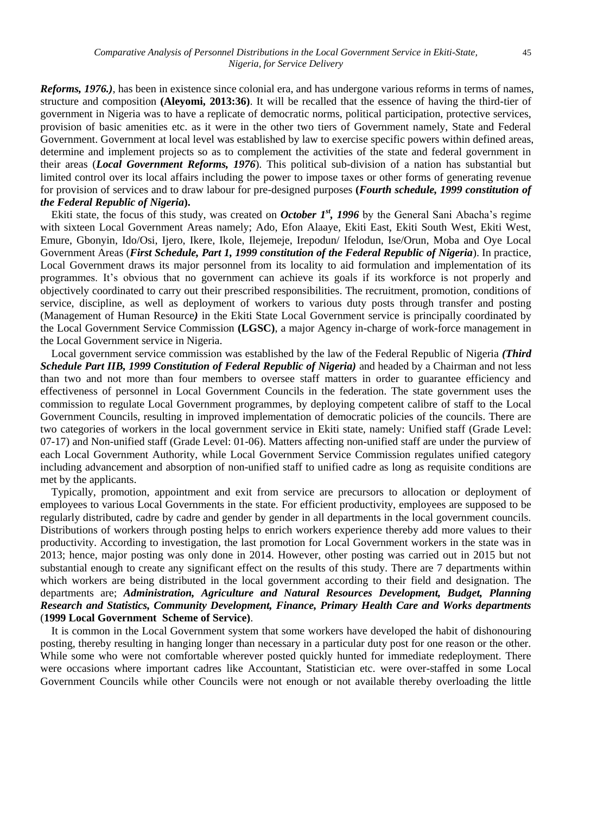*Reforms, 1976.)*, has been in existence since colonial era, and has undergone various reforms in terms of names, structure and composition **(Aleyomi, 2013:36)**. It will be recalled that the essence of having the third-tier of government in Nigeria was to have a replicate of democratic norms, political participation, protective services, provision of basic amenities etc. as it were in the other two tiers of Government namely, State and Federal Government. Government at local level was established by law to exercise specific powers within defined areas, determine and implement projects so as to complement the activities of the state and federal government in their areas (*Local Government Reforms, 1976*). This political sub-division of a nation has substantial but limited control over its local affairs including the power to impose taxes or other forms of generating revenue for provision of services and to draw labour for pre-designed purposes **(***Fourth schedule, 1999 constitution of the Federal Republic of Nigeria***).**

Ekiti state, the focus of this study, was created on *October 1<sup>st</sup>*, 1996 by the General Sani Abacha's regime with sixteen Local Government Areas namely; Ado, Efon Alaaye, Ekiti East, Ekiti South West, Ekiti West, Emure, Gbonyin, Ido/Osi, Ijero, Ikere, Ikole, Ilejemeje, Irepodun/ Ifelodun, Ise/Orun, Moba and Oye Local Government Areas (*First Schedule, Part 1, 1999 constitution of the Federal Republic of Nigeria*). In practice, Local Government draws its major personnel from its locality to aid formulation and implementation of its programmes. It's obvious that no government can achieve its goals if its workforce is not properly and objectively coordinated to carry out their prescribed responsibilities. The recruitment, promotion, conditions of service, discipline, as well as deployment of workers to various duty posts through transfer and posting (Management of Human Resource*)* in the Ekiti State Local Government service is principally coordinated by the Local Government Service Commission **(LGSC)**, a major Agency in-charge of work-force management in the Local Government service in Nigeria.

Local government service commission was established by the law of the Federal Republic of Nigeria *(Third Schedule Part IIB, 1999 Constitution of Federal Republic of Nigeria)* and headed by a Chairman and not less than two and not more than four members to oversee staff matters in order to guarantee efficiency and effectiveness of personnel in Local Government Councils in the federation. The state government uses the commission to regulate Local Government programmes, by deploying competent calibre of staff to the Local Government Councils, resulting in improved implementation of democratic policies of the councils. There are two categories of workers in the local government service in Ekiti state, namely: Unified staff (Grade Level: 07-17) and Non-unified staff (Grade Level: 01-06). Matters affecting non-unified staff are under the purview of each Local Government Authority, while Local Government Service Commission regulates unified category including advancement and absorption of non-unified staff to unified cadre as long as requisite conditions are met by the applicants.

Typically, promotion, appointment and exit from service are precursors to allocation or deployment of employees to various Local Governments in the state. For efficient productivity, employees are supposed to be regularly distributed, cadre by cadre and gender by gender in all departments in the local government councils. Distributions of workers through posting helps to enrich workers experience thereby add more values to their productivity. According to investigation, the last promotion for Local Government workers in the state was in 2013; hence, major posting was only done in 2014. However, other posting was carried out in 2015 but not substantial enough to create any significant effect on the results of this study. There are 7 departments within which workers are being distributed in the local government according to their field and designation. The departments are; *Administration, Agriculture and Natural Resources Development, Budget, Planning Research and Statistics, Community Development, Finance, Primary Health Care and Works departments* (**1999 Local Government Scheme of Service)**.

It is common in the Local Government system that some workers have developed the habit of dishonouring posting, thereby resulting in hanging longer than necessary in a particular duty post for one reason or the other. While some who were not comfortable wherever posted quickly hunted for immediate redeployment. There were occasions where important cadres like Accountant, Statistician etc. were over-staffed in some Local Government Councils while other Councils were not enough or not available thereby overloading the little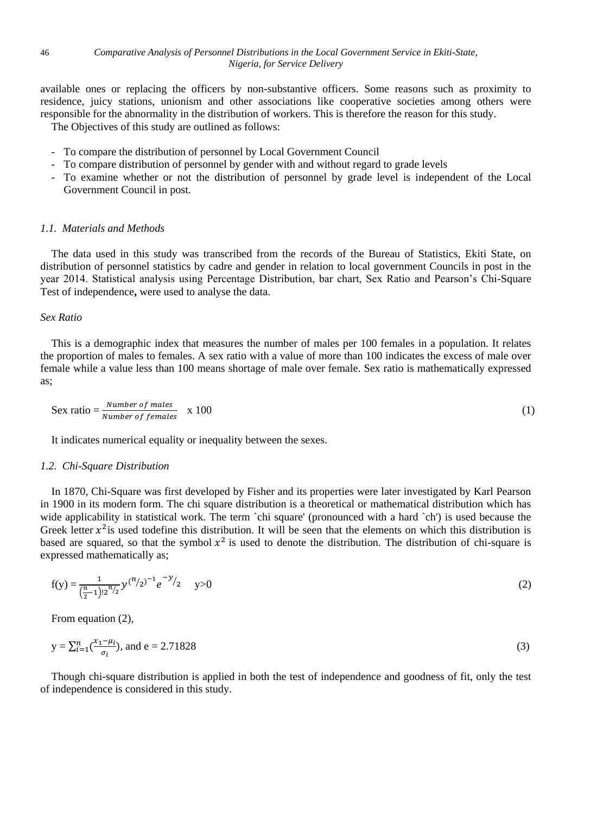available ones or replacing the officers by non-substantive officers. Some reasons such as proximity to residence, juicy stations, unionism and other associations like cooperative societies among others were responsible for the abnormality in the distribution of workers. This is therefore the reason for this study. The Objectives of this study are outlined as follows:

- To compare the distribution of personnel by Local Government Council
- To compare distribution of personnel by gender with and without regard to grade levels
- To examine whether or not the distribution of personnel by grade level is independent of the Local Government Council in post.

#### *1.1. Materials and Methods*

The data used in this study was transcribed from the records of the Bureau of Statistics, Ekiti State, on distribution of personnel statistics by cadre and gender in relation to local government Councils in post in the year 2014. Statistical analysis using Percentage Distribution, bar chart, Sex Ratio and Pearson's Chi-Square Test of independence**,** were used to analyse the data.

#### *Sex Ratio*

This is a demographic index that measures the number of males per 100 females in a population. It relates the proportion of males to females. A sex ratio with a value of more than 100 indicates the excess of male over female while a value less than 100 means shortage of male over female. Sex ratio is mathematically expressed as;

$$
Sex ratio = \frac{Number\ of\ males}{Number\ of\ females} \quad x\ 100\tag{1}
$$

It indicates numerical equality or inequality between the sexes.

#### *1.2. Chi-Square Distribution*

In 1870, Chi-Square was first developed by Fisher and its properties were later investigated by Karl Pearson in 1900 in its modern form. The chi square distribution is a theoretical or mathematical distribution which has wide applicability in statistical work. The term `chi square' (pronounced with a hard `ch') is used because the Greek letter  $x^2$  is used todefine this distribution. It will be seen that the elements on which this distribution is based are squared, so that the symbol  $x^2$  is used to denote the distribution. The distribution of chi-square is expressed mathematically as;

$$
f(y) = \frac{1}{(\frac{n}{2}-1)! \cdot 2^{n/2}} y^{(n/2)-1} e^{-y/2} \qquad y > 0
$$
 (2)

From equation (2),

$$
y = \sum_{i=1}^{n} \left( \frac{x_i - \mu_i}{\sigma_i} \right)
$$
, and e = 2.71828 (3)

Though chi-square distribution is applied in both the test of independence and goodness of fit, only the test of independence is considered in this study.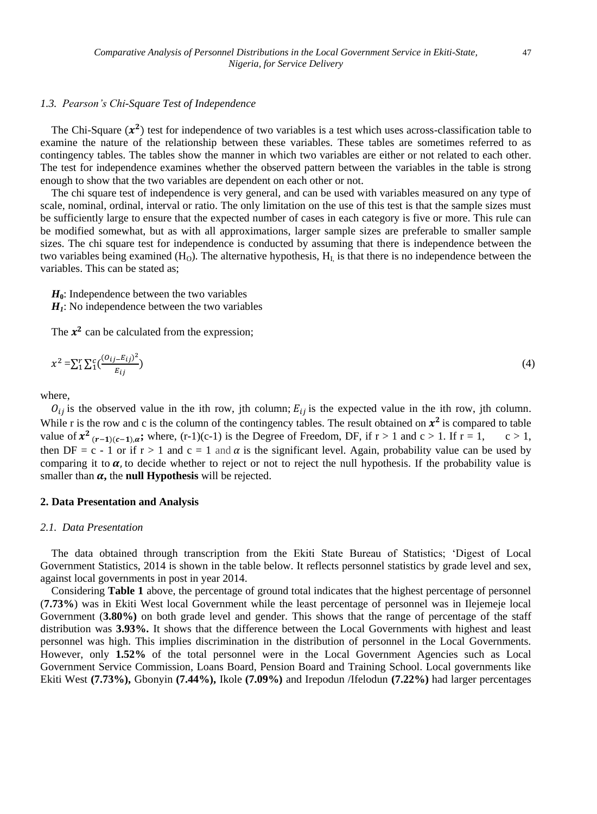# *1.3. Pearson's Chi-Square Test of Independence*

The Chi-Square  $(x^2)$  test for independence of two variables is a test which uses across-classification table to examine the nature of the relationship between these variables. These tables are sometimes referred to as contingency tables. The tables show the manner in which two variables are either or not related to each other. The test for independence examines whether the observed pattern between the variables in the table is strong enough to show that the two variables are dependent on each other or not.

The chi square test of independence is very general, and can be used with variables measured on any type of scale, nominal, ordinal, interval or ratio. The only limitation on the use of this test is that the sample sizes must be sufficiently large to ensure that the expected number of cases in each category is five or more. This rule can be modified somewhat, but as with all approximations, larger sample sizes are preferable to smaller sample sizes. The chi square test for independence is conducted by assuming that there is independence between the two variables being examined  $(H<sub>O</sub>)$ . The alternative hypothesis,  $H<sub>L</sub>$  is that there is no independence between the variables. This can be stated as;

 $H_0$ : Independence between the two variables

 $H<sub>I</sub>$ : No independence between the two variables

The  $x^2$  can be calculated from the expression;

$$
x^2 = \sum_{i=1}^{r} \sum_{j=1}^{c} \left( \frac{(o_{ij} - E_{ij})^2}{E_{ij}} \right) \tag{4}
$$

where,

 $\hat{O}_{ij}$  is the observed value in the ith row, jth column;  $E_{ij}$  is the expected value in the ith row, jth column. While r is the row and c is the column of the contingency tables. The result obtained on  $x^2$  is compared to table value of  $x^2$ <sub>(r-1)(c-1),a</sub>; where, (r-1)(c-1) is the Degree of Freedom, DF, if  $r > 1$  and  $c > 1$ . If  $r = 1$ ,  $c > 1$ , then DF = c - 1 or if  $r > 1$  and  $c = 1$  and  $\alpha$  is the significant level. Again, probability value can be used by comparing it to  $\alpha$ , to decide whether to reject or not to reject the null hypothesis. If the probability value is smaller than  $\alpha$ , the **null Hypothesis** will be rejected.

#### **2. Data Presentation and Analysis**

#### *2.1. Data Presentation*

The data obtained through transcription from the Ekiti State Bureau of Statistics; 'Digest of Local Government Statistics, 2014 is shown in the table below. It reflects personnel statistics by grade level and sex, against local governments in post in year 2014.

Considering **Table 1** above, the percentage of ground total indicates that the highest percentage of personnel (**7.73%**) was in Ekiti West local Government while the least percentage of personnel was in Ilejemeje local Government (**3.80%)** on both grade level and gender. This shows that the range of percentage of the staff distribution was **3.93%.** It shows that the difference between the Local Governments with highest and least personnel was high. This implies discrimination in the distribution of personnel in the Local Governments. However, only **1.52%** of the total personnel were in the Local Government Agencies such as Local Government Service Commission, Loans Board, Pension Board and Training School. Local governments like Ekiti West **(7.73%),** Gbonyin **(7.44%),** Ikole **(7.09%)** and Irepodun /Ifelodun **(7.22%)** had larger percentages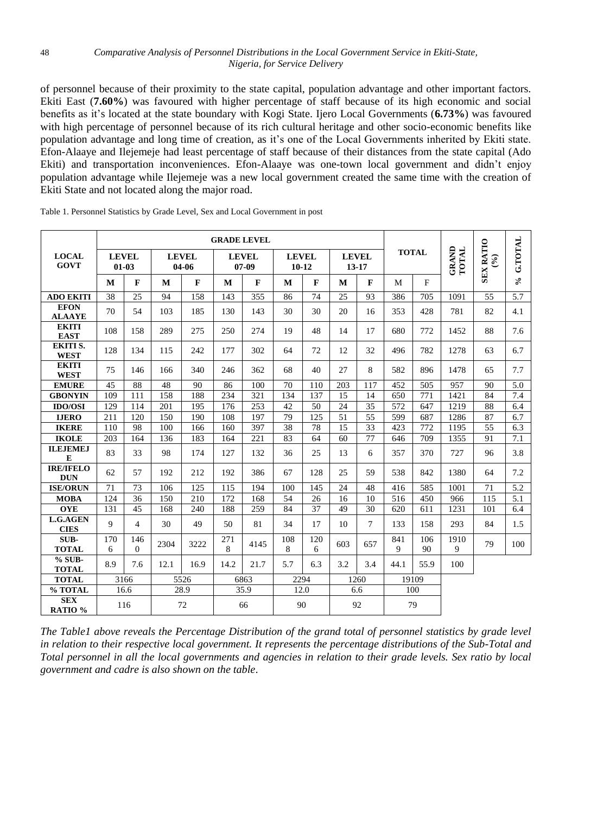of personnel because of their proximity to the state capital, population advantage and other important factors. Ekiti East (**7.60%**) was favoured with higher percentage of staff because of its high economic and social benefits as it's located at the state boundary with Kogi State. Ijero Local Governments (**6.73%**) was favoured with high percentage of personnel because of its rich cultural heritage and other socio-economic benefits like population advantage and long time of creation, as it's one of the Local Governments inherited by Ekiti state. Efon-Alaaye and Ilejemeje had least percentage of staff because of their distances from the state capital (Ado Ekiti) and transportation inconveniences. Efon-Alaaye was one-town local government and didn't enjoy population advantage while Ilejemeje was a new local government created the same time with the creation of Ekiti State and not located along the major road.

|                                | <b>GRADE LEVEL</b>      |                          |                       |              |                         |              |                         |              |                       |                 |              |           |                       |                                             |                            |
|--------------------------------|-------------------------|--------------------------|-----------------------|--------------|-------------------------|--------------|-------------------------|--------------|-----------------------|-----------------|--------------|-----------|-----------------------|---------------------------------------------|----------------------------|
| <b>LOCAL</b><br><b>GOVT</b>    | <b>LEVEL</b><br>$01-03$ |                          | <b>LEVEL</b><br>04-06 |              | <b>LEVEL</b><br>$07-09$ |              | <b>LEVEL</b><br>$10-12$ |              | <b>LEVEL</b><br>13-17 |                 | <b>TOTAL</b> |           | <b>GRAND</b><br>TOTAL | <b>SEX RATIO</b><br>$\mathcal{S}_{\bullet}$ | G.TOTAL                    |
|                                | M                       | $\mathbf{F}$             | M                     | $\mathbf{F}$ | M                       | $\mathbf{F}$ | M                       | $\mathbf{F}$ | M                     | $\mathbf{F}$    | M            | F         |                       |                                             | $\mathcal{S}_{\mathbf{e}}$ |
| <b>ADO EKITI</b>               | 38                      | 25                       | 94                    | 158          | 143                     | 355          | 86                      | 74           | 25                    | 93              | 386          | 705       | 1091                  | 55                                          | $\overline{5.7}$           |
| <b>EFON</b><br><b>ALAAYE</b>   | 70                      | 54                       | 103                   | 185          | 130                     | 143          | 30                      | 30           | 20                    | 16              | 353          | 428       | 781                   | 82                                          | 4.1                        |
| <b>EKITI</b><br><b>EAST</b>    | 108                     | 158                      | 289                   | 275          | 250                     | 274          | 19                      | 48           | 14                    | 17              | 680          | 772       | 1452                  | 88                                          | 7.6                        |
| <b>EKITI S.</b><br><b>WEST</b> | 128                     | 134                      | 115                   | 242          | 177                     | 302          | 64                      | 72           | 12                    | 32              | 496          | 782       | 1278                  | 63                                          | 6.7                        |
| <b>EKITI</b><br><b>WEST</b>    | 75                      | 146                      | 166                   | 340          | 246                     | 362          | 68                      | 40           | 27                    | 8               | 582          | 896       | 1478                  | 65                                          | 7.7                        |
| <b>EMURE</b>                   | 45                      | 88                       | 48                    | 90           | 86                      | 100          | 70                      | 110          | 203                   | 117             | 452          | 505       | 957                   | 90                                          | 5.0                        |
| <b>GBONYIN</b>                 | 109                     | 111                      | 158                   | 188          | 234                     | 321          | 134                     | 137          | 15                    | 14              | 650          | 771       | 1421                  | 84                                          | 7.4                        |
| <b>IDO/OSI</b>                 | 129                     | 114                      | 201                   | 195          | 176                     | 253          | 42                      | 50           | 24                    | 35              | 572          | 647       | 1219                  | 88                                          | 6.4                        |
| <b>IJERO</b>                   | 211                     | 120                      | 150                   | 190          | 108                     | 197          | 79                      | 125          | 51                    | $\overline{55}$ | 599          | 687       | 1286                  | 87                                          | 6.7                        |
| <b>IKERE</b>                   | 110                     | 98                       | 100                   | 166          | 160                     | 397          | 38                      | 78           | 15                    | 33              | 423          | 772       | 1195                  | 55                                          | 6.3                        |
| <b>IKOLE</b>                   | 203                     | 164                      | 136                   | 183          | 164                     | 221          | 83                      | 64           | 60                    | 77              | 646          | 709       | 1355                  | 91                                          | 7.1                        |
| <b>ILEJEMEJ</b><br>E           | 83                      | 33                       | 98                    | 174          | 127                     | 132          | 36                      | 25           | 13                    | 6               | 357          | 370       | 727                   | 96                                          | 3.8                        |
| <b>IRE/IFELO</b><br><b>DUN</b> | 62                      | 57                       | 192                   | 212          | 192                     | 386          | 67                      | 128          | 25                    | 59              | 538          | 842       | 1380                  | 64                                          | 7.2                        |
| <b>ISE/ORUN</b>                | 71                      | 73                       | 106                   | 125          | 115                     | 194          | 100                     | 145          | 24                    | 48              | 416          | 585       | 1001                  | 71                                          | 5.2                        |
| <b>MOBA</b>                    | 124                     | 36                       | 150                   | 210          | 172                     | 168          | 54                      | 26           | 16                    | 10              | 516          | 450       | 966                   | 115                                         | 5.1                        |
| <b>OYE</b>                     | 131                     | 45                       | 168                   | 240          | 188                     | 259          | 84                      | 37           | 49                    | 30              | 620          | 611       | 1231                  | 101                                         | 6.4                        |
| <b>L.G.AGEN</b><br><b>CIES</b> | 9                       | $\overline{\mathcal{L}}$ | 30                    | 49           | 50                      | 81           | 34                      | 17           | 10                    | $\tau$          | 133          | 158       | 293                   | 84                                          | 1.5                        |
| SUB-<br><b>TOTAL</b>           | 170<br>6                | 146<br>$\Omega$          | 2304                  | 3222         | 271<br>8                | 4145         | 108<br>8                | 120<br>6     | 603                   | 657             | 841<br>9     | 106<br>90 | 1910<br>9             | 79                                          | 100                        |
| % SUB-<br><b>TOTAL</b>         | 8.9                     | 7.6                      | 12.1                  | 16.9         | 14.2                    | 21.7         | 5.7                     | 6.3          | 3.2                   | 3.4             | 44.1         | 55.9      | 100                   |                                             |                            |
| <b>TOTAL</b>                   | 3166                    |                          | 5526                  |              | 6863                    |              | 2294                    |              | 1260                  |                 | 19109        |           |                       |                                             |                            |
| % TOTAL                        | 16.6                    |                          | 28.9                  |              | 35.9                    |              | 12.0                    |              | 6.6                   |                 | 100          |           |                       |                                             |                            |
| <b>SEX</b><br>RATIO %          | 116                     |                          | 72                    |              | 66                      |              | 90                      |              | 92                    |                 | 79           |           |                       |                                             |                            |

Table 1. Personnel Statistics by Grade Level, Sex and Local Government in post

*The Table1 above reveals the Percentage Distribution of the grand total of personnel statistics by grade level in relation to their respective local government. It represents the percentage distributions of the Sub-Total and Total personnel in all the local governments and agencies in relation to their grade levels. Sex ratio by local government and cadre is also shown on the table*.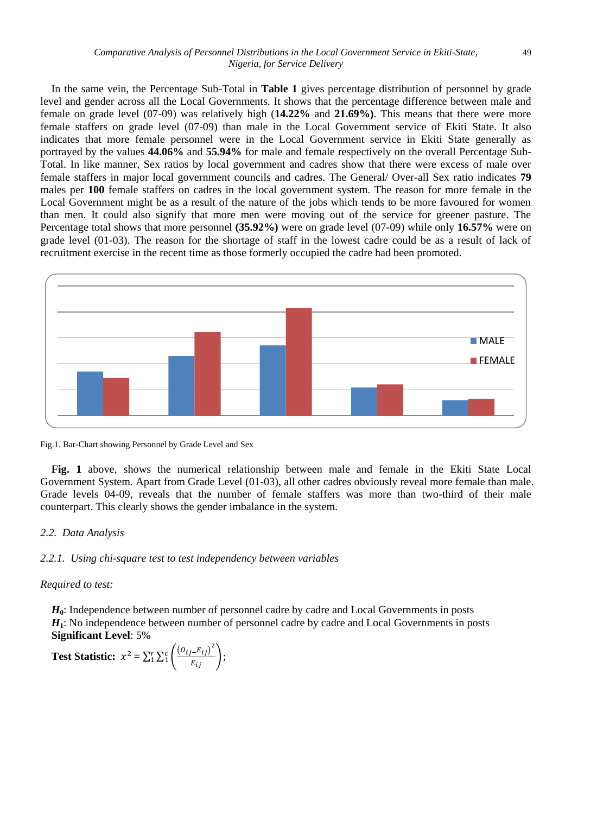In the same vein, the Percentage Sub-Total in **Table 1** gives percentage distribution of personnel by grade level and gender across all the Local Governments. It shows that the percentage difference between male and female on grade level (07-09) was relatively high (**14.22%** and **21.69%)**. This means that there were more female staffers on grade level (07-09) than male in the Local Government service of Ekiti State. It also indicates that more female personnel were in the Local Government service in Ekiti State generally as portrayed by the values **44.06%** and **55.94%** for male and female respectively on the overall Percentage Sub-Total. In like manner, Sex ratios by local government and cadres show that there were excess of male over female staffers in major local government councils and cadres. The General/ Over-all Sex ratio indicates **79** males per **100** female staffers on cadres in the local government system. The reason for more female in the Local Government might be as a result of the nature of the jobs which tends to be more favoured for women than men. It could also signify that more men were moving out of the service for greener pasture. The Percentage total shows that more personnel **(35.92%)** were on grade level (07-09) while only **16.57%** were on grade level (01-03). The reason for the shortage of staff in the lowest cadre could be as a result of lack of recruitment exercise in the recent time as those formerly occupied the cadre had been promoted.



Fig.1. Bar-Chart showing Personnel by Grade Level and Sex

**Fig. 1** above, shows the numerical relationship between male and female in the Ekiti State Local Government System. Apart from Grade Level (01-03), all other cadres obviously reveal more female than male. Grade levels 04-09, reveals that the number of female staffers was more than two-third of their male counterpart. This clearly shows the gender imbalance in the system.

#### *2.2. Data Analysis*

### *2.2.1. Using chi-square test to test independency between variables*

### *Required to test:*

*H***0**: Independence between number of personnel cadre by cadre and Local Governments in posts *H***1**: No independence between number of personnel cadre by cadre and Local Governments in posts **Significant Level**: 5%

Test Statistic: 
$$
x^2 = \sum_{i=1}^{r} \sum_{i=1}^{c} \left( \frac{(o_{ij} - E_{ij})^2}{E_{ij}} \right);
$$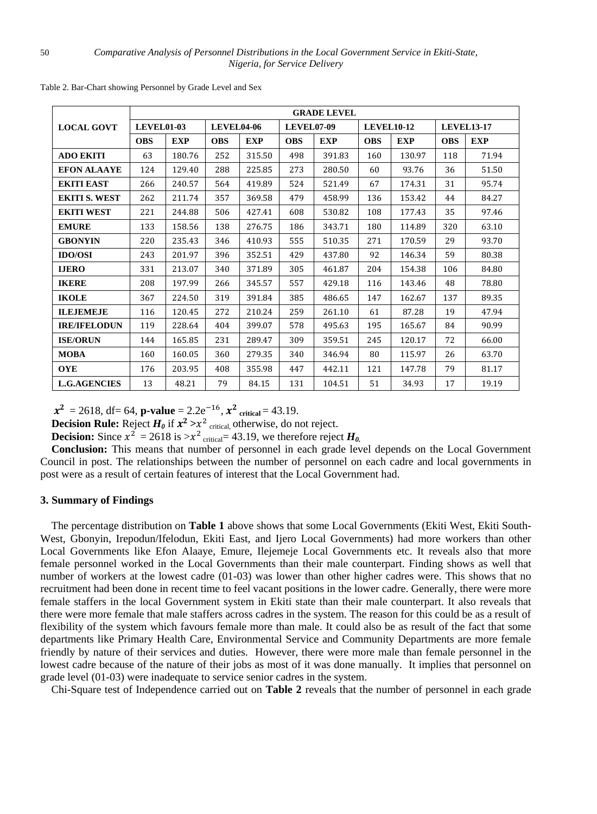|                      | <b>GRADE LEVEL</b> |            |                   |            |                   |            |                   |            |                   |            |  |
|----------------------|--------------------|------------|-------------------|------------|-------------------|------------|-------------------|------------|-------------------|------------|--|
| <b>LOCAL GOVT</b>    | <b>LEVEL01-03</b>  |            | <b>LEVEL04-06</b> |            | <b>LEVEL07-09</b> |            | <b>LEVEL10-12</b> |            | <b>LEVEL13-17</b> |            |  |
|                      | <b>OBS</b>         | <b>EXP</b> | <b>OBS</b>        | <b>EXP</b> | <b>OBS</b>        | <b>EXP</b> | <b>OBS</b>        | <b>EXP</b> | <b>OBS</b>        | <b>EXP</b> |  |
| <b>ADO EKITI</b>     | 63                 | 180.76     | 252               | 315.50     | 498               | 391.83     | 160               | 130.97     | 118               | 71.94      |  |
| <b>EFON ALAAYE</b>   | 124                | 129.40     | 288               | 225.85     | 273               | 280.50     | 60                | 93.76      | 36                | 51.50      |  |
| <b>EKITI EAST</b>    | 266                | 240.57     | 564               | 419.89     | 524               | 521.49     | 67                | 174.31     | 31                | 95.74      |  |
| <b>EKITI S. WEST</b> | 262                | 211.74     | 357               | 369.58     | 479               | 458.99     | 136               | 153.42     | 44                | 84.27      |  |
| <b>EKITI WEST</b>    | 221                | 244.88     | 506               | 427.41     | 608               | 530.82     | 108               | 177.43     | 35                | 97.46      |  |
| <b>EMURE</b>         | 133                | 158.56     | 138               | 276.75     | 186               | 343.71     | 180               | 114.89     | 320               | 63.10      |  |
| <b>GBONYIN</b>       | 220                | 235.43     | 346               | 410.93     | 555               | 510.35     | 271               | 170.59     | 29                | 93.70      |  |
| <b>IDO/OSI</b>       | 243                | 201.97     | 396               | 352.51     | 429               | 437.80     | 92                | 146.34     | 59                | 80.38      |  |
| <b>IJERO</b>         | 331                | 213.07     | 340               | 371.89     | 305               | 461.87     | 204               | 154.38     | 106               | 84.80      |  |
| <b>IKERE</b>         | 208                | 197.99     | 266               | 345.57     | 557               | 429.18     | 116               | 143.46     | 48                | 78.80      |  |
| <b>IKOLE</b>         | 367                | 224.50     | 319               | 391.84     | 385               | 486.65     | 147               | 162.67     | 137               | 89.35      |  |
| <b>ILEJEMEJE</b>     | 116                | 120.45     | 272               | 210.24     | 259               | 261.10     | 61                | 87.28      | 19                | 47.94      |  |
| <b>IRE/IFELODUN</b>  | 119                | 228.64     | 404               | 399.07     | 578               | 495.63     | 195               | 165.67     | 84                | 90.99      |  |
| <b>ISE/ORUN</b>      | 144                | 165.85     | 231               | 289.47     | 309               | 359.51     | 245               | 120.17     | 72                | 66.00      |  |
| <b>MOBA</b>          | 160                | 160.05     | 360               | 279.35     | 340               | 346.94     | 80                | 115.97     | 26                | 63.70      |  |
| <b>OYE</b>           | 176                | 203.95     | 408               | 355.98     | 447               | 442.11     | 121               | 147.78     | 79                | 81.17      |  |
| <b>L.G.AGENCIES</b>  | 13                 | 48.21      | 79                | 84.15      | 131               | 104.51     | 51                | 34.93      | 17                | 19.19      |  |

Table 2. Bar-Chart showing Personnel by Grade Level and Sex

 $x^2 = 2618$ , df= 64, **p-value** = 2.2e<sup>-16</sup>,  $x^2$  <sub>critical</sub> = 43.19.

**Decision Rule:** Reject  $H_0$  if  $x^2 > x^2$  critical, otherwise, do not reject.

**Decision:** Since  $x^2 = 2618$  is  $>x^2$  critical = 43.19, we therefore reject  $H_0$ .

**Conclusion:** This means that number of personnel in each grade level depends on the Local Government Council in post. The relationships between the number of personnel on each cadre and local governments in post were as a result of certain features of interest that the Local Government had.

#### **3. Summary of Findings**

The percentage distribution on **Table 1** above shows that some Local Governments (Ekiti West, Ekiti South-West, Gbonyin, Irepodun/Ifelodun, Ekiti East, and Ijero Local Governments) had more workers than other Local Governments like Efon Alaaye, Emure, Ilejemeje Local Governments etc. It reveals also that more female personnel worked in the Local Governments than their male counterpart. Finding shows as well that number of workers at the lowest cadre (01-03) was lower than other higher cadres were. This shows that no recruitment had been done in recent time to feel vacant positions in the lower cadre. Generally, there were more female staffers in the local Government system in Ekiti state than their male counterpart. It also reveals that there were more female that male staffers across cadres in the system. The reason for this could be as a result of flexibility of the system which favours female more than male. It could also be as result of the fact that some departments like Primary Health Care, Environmental Service and Community Departments are more female friendly by nature of their services and duties. However, there were more male than female personnel in the lowest cadre because of the nature of their jobs as most of it was done manually. It implies that personnel on grade level (01-03) were inadequate to service senior cadres in the system.

Chi-Square test of Independence carried out on **Table 2** reveals that the number of personnel in each grade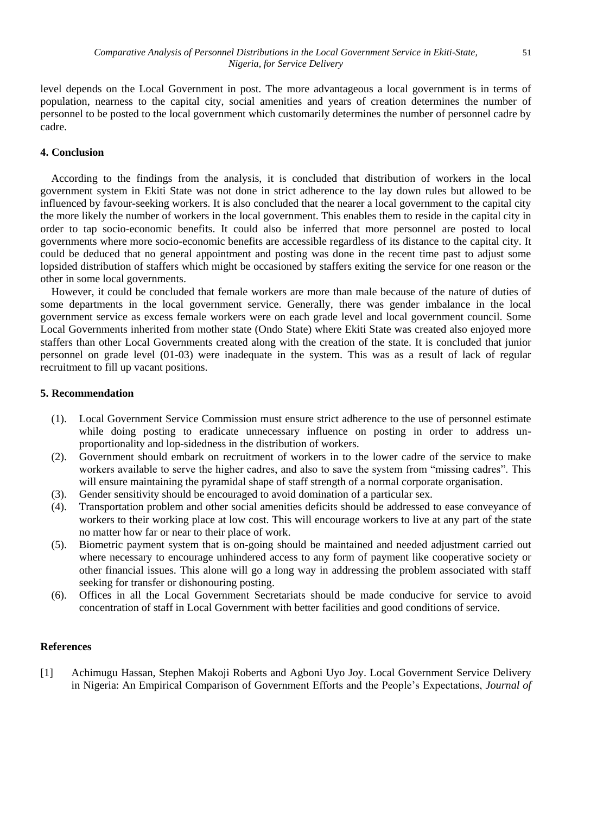level depends on the Local Government in post. The more advantageous a local government is in terms of population, nearness to the capital city, social amenities and years of creation determines the number of personnel to be posted to the local government which customarily determines the number of personnel cadre by cadre.

# **4. Conclusion**

According to the findings from the analysis, it is concluded that distribution of workers in the local government system in Ekiti State was not done in strict adherence to the lay down rules but allowed to be influenced by favour-seeking workers. It is also concluded that the nearer a local government to the capital city the more likely the number of workers in the local government. This enables them to reside in the capital city in order to tap socio-economic benefits. It could also be inferred that more personnel are posted to local governments where more socio-economic benefits are accessible regardless of its distance to the capital city. It could be deduced that no general appointment and posting was done in the recent time past to adjust some lopsided distribution of staffers which might be occasioned by staffers exiting the service for one reason or the other in some local governments.

However, it could be concluded that female workers are more than male because of the nature of duties of some departments in the local government service. Generally, there was gender imbalance in the local government service as excess female workers were on each grade level and local government council. Some Local Governments inherited from mother state (Ondo State) where Ekiti State was created also enjoyed more staffers than other Local Governments created along with the creation of the state. It is concluded that junior personnel on grade level (01-03) were inadequate in the system. This was as a result of lack of regular recruitment to fill up vacant positions.

# **5. Recommendation**

- (1). Local Government Service Commission must ensure strict adherence to the use of personnel estimate while doing posting to eradicate unnecessary influence on posting in order to address unproportionality and lop-sidedness in the distribution of workers.
- (2). Government should embark on recruitment of workers in to the lower cadre of the service to make workers available to serve the higher cadres, and also to save the system from "missing cadres". This will ensure maintaining the pyramidal shape of staff strength of a normal corporate organisation.
- (3). Gender sensitivity should be encouraged to avoid domination of a particular sex.
- (4). Transportation problem and other social amenities deficits should be addressed to ease conveyance of workers to their working place at low cost. This will encourage workers to live at any part of the state no matter how far or near to their place of work.
- (5). Biometric payment system that is on-going should be maintained and needed adjustment carried out where necessary to encourage unhindered access to any form of payment like cooperative society or other financial issues. This alone will go a long way in addressing the problem associated with staff seeking for transfer or dishonouring posting.
- (6). Offices in all the Local Government Secretariats should be made conducive for service to avoid concentration of staff in Local Government with better facilities and good conditions of service.

# **References**

[1] Achimugu Hassan, Stephen Makoji Roberts and Agboni Uyo Joy. Local Government Service Delivery in Nigeria: An Empirical Comparison of Government Efforts and the People's Expectations, *Journal of*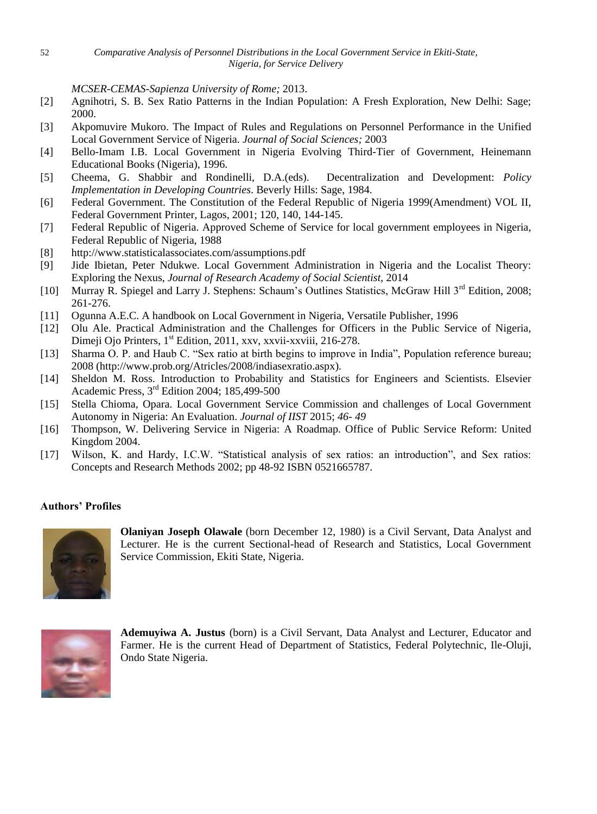*MCSER-CEMAS-Sapienza University of Rome;* 2013.

- [2] Agnihotri, S. B. Sex Ratio Patterns in the Indian Population: A Fresh Exploration, New Delhi: Sage; 2000.
- [3] Akpomuvire Mukoro. The Impact of Rules and Regulations on Personnel Performance in the Unified Local Government Service of Nigeria. *Journal of Social Sciences;* 2003
- [4] Bello-Imam I.B. Local Government in Nigeria Evolving Third-Tier of Government, Heinemann Educational Books (Nigeria), 1996.
- [5] Cheema, G. Shabbir and Rondinelli, D.A.(eds). Decentralization and Development: *Policy Implementation in Developing Countries*. Beverly Hills: Sage, 1984.
- [6] Federal Government. The Constitution of the Federal Republic of Nigeria 1999(Amendment) VOL II, Federal Government Printer, Lagos, 2001; 120, 140, 144-145.
- [7] Federal Republic of Nigeria. Approved Scheme of Service for local government employees in Nigeria, Federal Republic of Nigeria, 1988
- [8] <http://www.statisticalassociates.com/assumptions.pdf>
- [9] Jide Ibietan, Peter Ndukwe. Local Government Administration in Nigeria and the Localist Theory: Exploring the Nexus, *Journal of Research Academy of Social Scientist,* 2014
- [10] Murray R. Spiegel and Larry J. Stephens: Schaum's Outlines Statistics, McGraw Hill 3<sup>rd</sup> Edition, 2008; 261-276.
- [11] Ogunna A.E.C. A handbook on Local Government in Nigeria, Versatile Publisher, 1996
- [12] Olu Ale. Practical Administration and the Challenges for Officers in the Public Service of Nigeria, Dimeji Ojo Printers, 1<sup>st</sup> Edition, 2011, xxv, xxvii-xxviii, 216-278.
- [13] Sharma O. P. and Haub C. "Sex ratio at birth begins to improve in India", Population reference bureau; 2008 [\(http://www.prob.org/Atricles/2008/indiasexratio.aspx\)](http://www.prob.org/Atricles/2008/indiasexratio.aspx).
- [14] Sheldon M. Ross. Introduction to Probability and Statistics for Engineers and Scientists. Elsevier Academic Press, 3rd Edition 2004; 185,499-500
- [15] Stella Chioma, Opara. Local Government Service Commission and challenges of Local Government Autonomy in Nigeria: An Evaluation. *Journal of IIST* 2015; *46- 49*
- [16] Thompson, W. Delivering Service in Nigeria: A Roadmap. Office of Public Service Reform: United Kingdom 2004.
- [17] Wilson, K. and Hardy, I.C.W. "Statistical analysis of sex ratios: an introduction", and Sex ratios: Concepts and Research Methods 2002; pp 48-92 ISBN 0521665787.

# **Authors' Profiles**



**Olaniyan Joseph Olawale** (born December 12, 1980) is a Civil Servant, Data Analyst and Lecturer. He is the current Sectional-head of Research and Statistics, Local Government Service Commission, Ekiti State, Nigeria.



**Ademuyiwa A. Justus** (born) is a Civil Servant, Data Analyst and Lecturer, Educator and Farmer. He is the current Head of Department of Statistics, Federal Polytechnic, Ile-Oluji, Ondo State Nigeria.